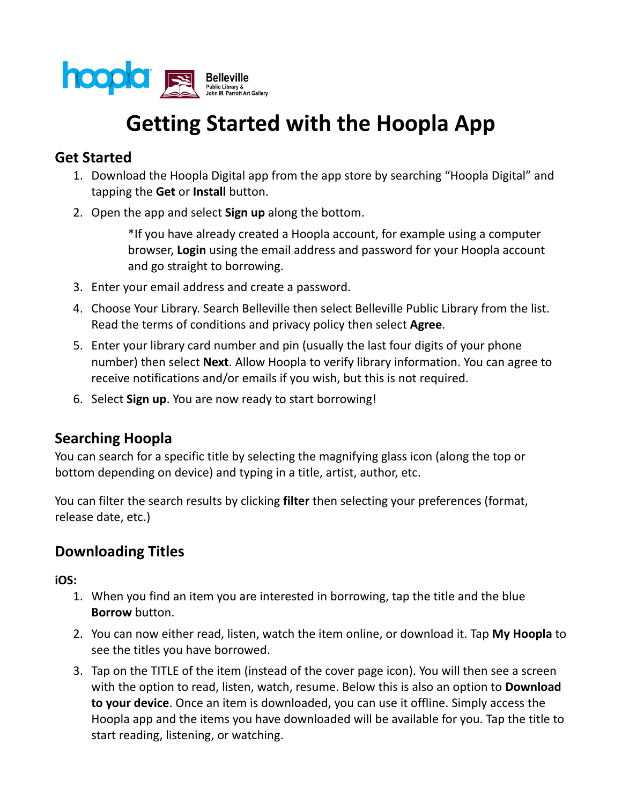

# **Getting Started with the Hoopla App**

### **Get Started**

- 1. Download the Hoopla Digital app from the app store by searching "Hoopla Digital" and tapping the **Get** or **Install** button.
- 2. Open the app and select **Sign up** along the bottom.

\*If you have already created a Hoopla account, for example using a computer browser, **Login** using the email address and password for your Hoopla account and go straight to borrowing.

- 3. Enter your email address and create a password.
- 4. Choose Your Library. Search Belleville then select Belleville Public Library from the list. Read the terms of conditions and privacy policy then select **Agree**.
- 5. Enter your library card number and pin (usually the last four digits of your phone number) then select **Next**. Allow Hoopla to verify library information. You can agree to receive notifications and/or emails if you wish, but this is not required.
- 6. Select **Sign up**. You are now ready to start borrowing!

# **Searching Hoopla**

You can search for a specific title by selecting the magnifying glass icon (along the top or bottom depending on device) and typing in a title, artist, author, etc.

You can filter the search results by clicking **filter** then selecting your preferences (format, release date, etc.)

# **Downloading Titles**

**iOS:**

- 1. When you find an item you are interested in borrowing, tap the title and the blue **Borrow** button.
- 2. You can now either read, listen, watch the item online, or download it. Tap **My Hoopla** to see the titles you have borrowed.
- 3. Tap on the TITLE of the item (instead of the cover page icon). You will then see a screen with the option to read, listen, watch, resume. Below this is also an option to **Download to your device**. Once an item is downloaded, you can use it offline. Simply access the Hoopla app and the items you have downloaded will be available for you. Tap the title to start reading, listening, or watching.